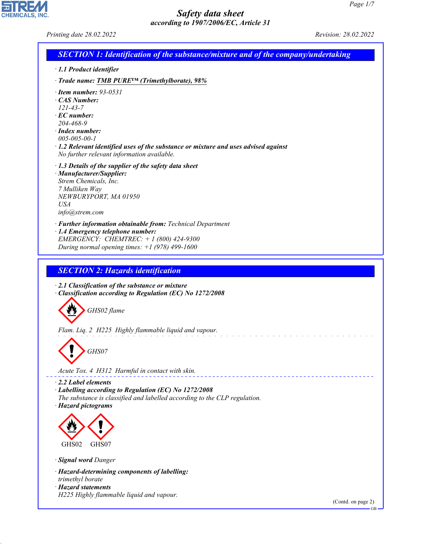CHEMICALS, INC.

44.1.1

| Printing date 28.02.2022                                                                                                                                                                                                                                                                       | Revision: 28.02.2022            |
|------------------------------------------------------------------------------------------------------------------------------------------------------------------------------------------------------------------------------------------------------------------------------------------------|---------------------------------|
| <b>SECTION 1: Identification of the substance/mixture and of the company/undertaking</b>                                                                                                                                                                                                       |                                 |
| $\cdot$ 1.1 Product identifier                                                                                                                                                                                                                                                                 |                                 |
| · Trade name: TMB PURE <sup>TM</sup> (Trimethylborate), 98%                                                                                                                                                                                                                                    |                                 |
| $\cdot$ Item number: 93-0531<br>· CAS Number:<br>$121 - 43 - 7$<br>$\cdot$ EC number:<br>204-468-9<br>$\cdot$ Index number:<br>$005 - 005 - 00 - 1$<br>$\cdot$ 1.2 Relevant identified uses of the substance or mixture and uses advised against<br>No further relevant information available. |                                 |
| $\cdot$ 1.3 Details of the supplier of the safety data sheet<br>· Manufacturer/Supplier:<br>Strem Chemicals, Inc.<br>7 Mulliken Way<br>NEWBURYPORT, MA 01950<br>USA<br>info@strem.com                                                                                                          |                                 |
| · Further information obtainable from: Technical Department<br>· 1.4 Emergency telephone number:<br>EMERGENCY: CHEMTREC: +1 (800) 424-9300<br>During normal opening times: $+1$ (978) 499-1600                                                                                                 |                                 |
| <b>SECTION 2: Hazards identification</b>                                                                                                                                                                                                                                                       |                                 |
| $\cdot$ 2.1 Classification of the substance or mixture<br>Classification according to Regulation (EC) No 1272/2008<br>GHS02 flame                                                                                                                                                              |                                 |
| Flam. Liq. 2 H225 Highly flammable liquid and vapour.<br>GHS07<br>Acute Tox. 4 H312 Harmful in contact with skin.                                                                                                                                                                              |                                 |
| $\cdot$ 2.2 Label elements<br>· Labelling according to Regulation (EC) No 1272/2008<br>The substance is classified and labelled according to the CLP regulation.<br>· Hazard pictograms                                                                                                        |                                 |
| GHS02<br>GHS07                                                                                                                                                                                                                                                                                 |                                 |
| · Signal word Danger                                                                                                                                                                                                                                                                           |                                 |
| · Hazard-determining components of labelling:<br>trimethyl borate<br>· Hazard statements<br>H225 Highly flammable liquid and vapour.                                                                                                                                                           |                                 |
|                                                                                                                                                                                                                                                                                                | (Contd. on page 2)<br><b>GB</b> |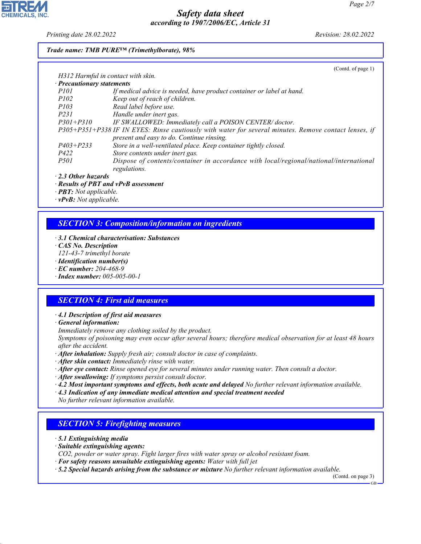*Printing date 28.02.2022 Revision: 28.02.2022*

**CHEMICALS. INC** 

## *Trade name: TMB PURE™ (Trimethylborate), 98%*

|                                    | (Contd. of page 1)                                                                                    |
|------------------------------------|-------------------------------------------------------------------------------------------------------|
| H312 Harmful in contact with skin. |                                                                                                       |
| · Precautionary statements         |                                                                                                       |
| <i>P101</i>                        | If medical advice is needed, have product container or label at hand.                                 |
| <i>P102</i>                        | Keep out of reach of children.                                                                        |
| <i>P103</i>                        | Read label before use.                                                                                |
| P231                               | Handle under inert gas.                                                                               |
| $P301 + P310$                      | IF SWALLOWED: Immediately call a POISON CENTER/doctor.                                                |
|                                    | P305+P351+P338 IF IN EYES: Rinse cautiously with water for several minutes. Remove contact lenses, if |
|                                    | present and easy to do. Continue rinsing.                                                             |
| $P403 + P233$                      | Store in a well-ventilated place. Keep container tightly closed.                                      |
| P422                               | Store contents under inert gas.                                                                       |
| <i>P501</i>                        | Dispose of contents/container in accordance with local/regional/national/international                |
|                                    | regulations.                                                                                          |

*· 2.3 Other hazards*

*· Results of PBT and vPvB assessment*

*· PBT: Not applicable.*

*· vPvB: Not applicable.*

# *SECTION 3: Composition/information on ingredients*

- *· 3.1 Chemical characterisation: Substances*
- *· CAS No. Description*

*121-43-7 trimethyl borate*

- *· Identification number(s)*
- *· EC number: 204-468-9*
- *· Index number: 005-005-00-1*

# *SECTION 4: First aid measures*

*· 4.1 Description of first aid measures*

*· General information:*

*Immediately remove any clothing soiled by the product.*

*Symptoms of poisoning may even occur after several hours; therefore medical observation for at least 48 hours after the accident.*

- *· After inhalation: Supply fresh air; consult doctor in case of complaints.*
- *· After skin contact: Immediately rinse with water.*
- *· After eye contact: Rinse opened eye for several minutes under running water. Then consult a doctor.*

*· After swallowing: If symptoms persist consult doctor.*

- *· 4.2 Most important symptoms and effects, both acute and delayed No further relevant information available.*
- *· 4.3 Indication of any immediate medical attention and special treatment needed*

*No further relevant information available.*

# *SECTION 5: Firefighting measures*

*· 5.1 Extinguishing media*

44.1.1

- *· Suitable extinguishing agents:*
- *CO2, powder or water spray. Fight larger fires with water spray or alcohol resistant foam.*
- *· For safety reasons unsuitable extinguishing agents: Water with full jet*
- *· 5.2 Special hazards arising from the substance or mixture No further relevant information available.*

(Contd. on page 3)

GB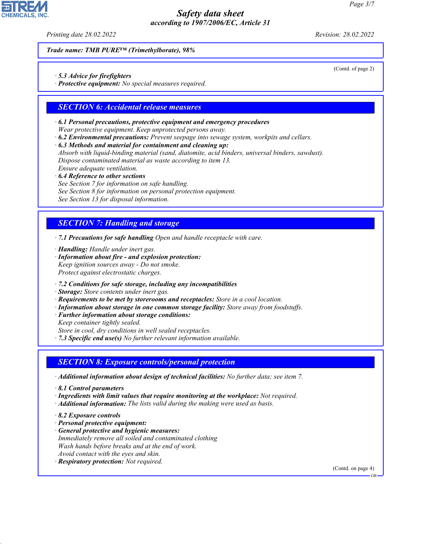*Printing date 28.02.2022 Revision: 28.02.2022*

*Trade name: TMB PURE™ (Trimethylborate), 98%*

*· 5.3 Advice for firefighters*

*· Protective equipment: No special measures required.*

## *SECTION 6: Accidental release measures*

- *· 6.1 Personal precautions, protective equipment and emergency procedures Wear protective equipment. Keep unprotected persons away.*
- *· 6.2 Environmental precautions: Prevent seepage into sewage system, workpits and cellars.*
- *· 6.3 Methods and material for containment and cleaning up:*

*Absorb with liquid-binding material (sand, diatomite, acid binders, universal binders, sawdust). Dispose contaminated material as waste according to item 13. Ensure adequate ventilation.*

*· 6.4 Reference to other sections*

- *See Section 7 for information on safe handling.*
- *See Section 8 for information on personal protection equipment.*

*See Section 13 for disposal information.*

# *SECTION 7: Handling and storage*

*· 7.1 Precautions for safe handling Open and handle receptacle with care.*

*· Handling: Handle under inert gas.*

- *· Information about fire and explosion protection: Keep ignition sources away - Do not smoke. Protect against electrostatic charges.*
- *· 7.2 Conditions for safe storage, including any incompatibilities*
- *· Storage: Store contents under inert gas.*
- *· Requirements to be met by storerooms and receptacles: Store in a cool location.*
- *· Information about storage in one common storage facility: Store away from foodstuffs.*
- *· Further information about storage conditions:*
- *Keep container tightly sealed.*

*Store in cool, dry conditions in well sealed receptacles.*

*· 7.3 Specific end use(s) No further relevant information available.*

# *SECTION 8: Exposure controls/personal protection*

*· Additional information about design of technical facilities: No further data; see item 7.*

- *· 8.1 Control parameters*
- *· Ingredients with limit values that require monitoring at the workplace: Not required.*
- *· Additional information: The lists valid during the making were used as basis.*
- *· 8.2 Exposure controls*

44.1.1

- *· Personal protective equipment:*
- *· General protective and hygienic measures: Immediately remove all soiled and contaminated clothing Wash hands before breaks and at the end of work. Avoid contact with the eyes and skin.*
- *· Respiratory protection: Not required.*

(Contd. on page 4)

GB



(Contd. of page 2)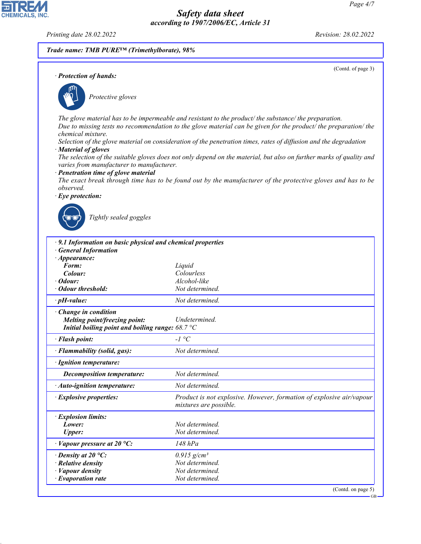*Printing date 28.02.2022 Revision: 28.02.2022*

CHEMICALS, INC.

44.1.1

|                                                                                      | Trade name: TMB PURETM (Trimethylborate), 98%                                                                                                                                                                             |
|--------------------------------------------------------------------------------------|---------------------------------------------------------------------------------------------------------------------------------------------------------------------------------------------------------------------------|
| · Protection of hands:                                                               | (Contd. of page 3)                                                                                                                                                                                                        |
|                                                                                      |                                                                                                                                                                                                                           |
| Protective gloves                                                                    |                                                                                                                                                                                                                           |
|                                                                                      | The glove material has to be impermeable and resistant to the product/ the substance/ the preparation.<br>Due to missing tests no recommendation to the glove material can be given for the product/ the preparation/ the |
| chemical mixture.                                                                    | Selection of the glove material on consideration of the penetration times, rates of diffusion and the degradation                                                                                                         |
| · Material of gloves                                                                 | The selection of the suitable gloves does not only depend on the material, but also on further marks of quality and                                                                                                       |
| varies from manufacturer to manufacturer.<br>· Penetration time of glove material    |                                                                                                                                                                                                                           |
| observed.                                                                            | The exact break through time has to be found out by the manufacturer of the protective gloves and has to be                                                                                                               |
| $\cdot$ Eye protection:                                                              |                                                                                                                                                                                                                           |
| · 9.1 Information on basic physical and chemical properties<br>· General Information |                                                                                                                                                                                                                           |
| $\cdot$ Appearance:                                                                  |                                                                                                                                                                                                                           |
|                                                                                      |                                                                                                                                                                                                                           |
| Form:                                                                                | Liquid                                                                                                                                                                                                                    |
| Colour:                                                                              | Colourless                                                                                                                                                                                                                |
| $\cdot$ Odour:                                                                       | Alcohol-like                                                                                                                                                                                                              |
| · Odour threshold:<br>$\cdot$ pH-value:                                              | Not determined.<br>Not determined.                                                                                                                                                                                        |
| $\cdot$ Change in condition                                                          |                                                                                                                                                                                                                           |
| Melting point/freezing point:                                                        | Undetermined.                                                                                                                                                                                                             |
| Initial boiling point and boiling range: $68.7 \text{ }^{\circ}\text{C}$             |                                                                                                                                                                                                                           |
| · Flash point:                                                                       | $-I$ °C                                                                                                                                                                                                                   |
| · Flammability (solid, gas):                                                         | Not determined.                                                                                                                                                                                                           |
| · Ignition temperature:                                                              |                                                                                                                                                                                                                           |
| <b>Decomposition temperature:</b>                                                    | Not determined.                                                                                                                                                                                                           |
| · Auto-ignition temperature:                                                         | Not determined.                                                                                                                                                                                                           |
| · Explosive properties:                                                              | mixtures are possible.                                                                                                                                                                                                    |
| · Explosion limits:                                                                  |                                                                                                                                                                                                                           |
| Lower:                                                                               | Not determined.                                                                                                                                                                                                           |
| <b>Upper:</b>                                                                        | Not determined.                                                                                                                                                                                                           |
| $\cdot$ Vapour pressure at 20 °C:                                                    | $148$ $hPa$                                                                                                                                                                                                               |
| $\cdot$ Density at 20 °C:                                                            | $0.915$ g/cm <sup>3</sup>                                                                                                                                                                                                 |
| · Relative density                                                                   | Not determined.                                                                                                                                                                                                           |
| · Vapour density<br>$\cdot$ Evaporation rate                                         | Product is not explosive. However, formation of explosive air/vapour<br>Not determined.<br>Not determined.                                                                                                                |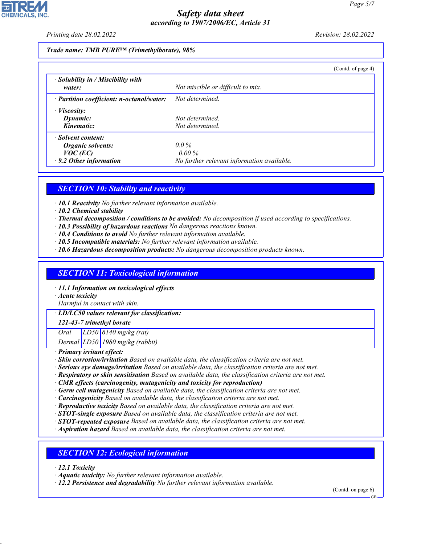*Printing date 28.02.2022 Revision: 28.02.2022*

*Trade name: TMB PURE™ (Trimethylborate), 98%*

|                                                                                        | (Contd. of page 4)                                                |  |
|----------------------------------------------------------------------------------------|-------------------------------------------------------------------|--|
| $\cdot$ Solubility in / Miscibility with<br>water:                                     | Not miscible or difficult to mix.                                 |  |
| · Partition coefficient: n-octanol/water:                                              | Not determined.                                                   |  |
| $\cdot$ <i>Viscosity:</i><br>Dynamic:<br>Kinematic:                                    | Not determined<br>Not determined.                                 |  |
| · Solvent content:<br>Organic solvents:<br>$VOC$ (EC)<br>$\cdot$ 9.2 Other information | $0.0\%$<br>$0.00\%$<br>No further relevant information available. |  |

# *SECTION 10: Stability and reactivity*

*· 10.1 Reactivity No further relevant information available.*

*· 10.2 Chemical stability*

- *· Thermal decomposition / conditions to be avoided: No decomposition if used according to specifications.*
- *· 10.3 Possibility of hazardous reactions No dangerous reactions known.*
- *· 10.4 Conditions to avoid No further relevant information available.*
- *· 10.5 Incompatible materials: No further relevant information available.*
- *· 10.6 Hazardous decomposition products: No dangerous decomposition products known.*

## *SECTION 11: Toxicological information*

*· 11.1 Information on toxicological effects*

*· Acute toxicity*

*Harmful in contact with skin.*

*· LD/LC50 values relevant for classification:*

#### *121-43-7 trimethyl borate*

*Oral LD50 6140 mg/kg (rat)*

*Dermal LD50 1980 mg/kg (rabbit)*

*· Primary irritant effect:*

*· Skin corrosion/irritation Based on available data, the classification criteria are not met.*

- *· Serious eye damage/irritation Based on available data, the classification criteria are not met.*
- *· Respiratory or skin sensitisation Based on available data, the classification criteria are not met.*

*· CMR effects (carcinogenity, mutagenicity and toxicity for reproduction)*

- *· Germ cell mutagenicity Based on available data, the classification criteria are not met.*
- *· Carcinogenicity Based on available data, the classification criteria are not met.*
- *· Reproductive toxicity Based on available data, the classification criteria are not met.*
- *· STOT-single exposure Based on available data, the classification criteria are not met.*
- *· STOT-repeated exposure Based on available data, the classification criteria are not met.*

*· Aspiration hazard Based on available data, the classification criteria are not met.*

## *SECTION 12: Ecological information*

*· 12.1 Toxicity*

44.1.1

*· Aquatic toxicity: No further relevant information available.*

*· 12.2 Persistence and degradability No further relevant information available.*

(Contd. on page 6)

GB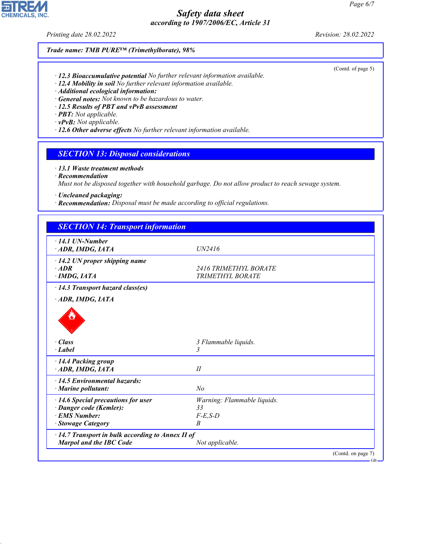*Printing date 28.02.2022 Revision: 28.02.2022*

**CHEMICALS, INC.** 

(Contd. of page 5)

# *Trade name: TMB PURE™ (Trimethylborate), 98%*

- *· 12.3 Bioaccumulative potential No further relevant information available.*
- *· 12.4 Mobility in soil No further relevant information available.*
- *· Additional ecological information:*
- *· General notes: Not known to be hazardous to water.*
- *· 12.5 Results of PBT and vPvB assessment*
- *· PBT: Not applicable.*
- *· vPvB: Not applicable.*
- *· 12.6 Other adverse effects No further relevant information available.*

## *SECTION 13: Disposal considerations*

#### *· 13.1 Waste treatment methods*

*· Recommendation*

44.1.1

*Must not be disposed together with household garbage. Do not allow product to reach sewage system.*

- *· Uncleaned packaging:*
- *· Recommendation: Disposal must be made according to official regulations.*

| <b>SECTION 14: Transport information</b>                                                                    |                                                         |                    |
|-------------------------------------------------------------------------------------------------------------|---------------------------------------------------------|--------------------|
| $\cdot$ 14.1 UN-Number<br>ADR, IMDG, IATA                                                                   | UN2416                                                  |                    |
| $\cdot$ 14.2 UN proper shipping name<br>$\cdot$ ADR<br>$\cdot$ IMDG, IATA                                   | <i>2416 TRIMETHYL BORATE</i><br>TRIMETHYL BORATE        |                    |
| · 14.3 Transport hazard class(es)                                                                           |                                                         |                    |
| · ADR, IMDG, IATA                                                                                           |                                                         |                    |
| · Class                                                                                                     | 3 Flammable liquids.                                    |                    |
| $\cdot$ Label                                                                                               | 3                                                       |                    |
| · 14.4 Packing group<br>ADR, IMDG, IATA                                                                     | II                                                      |                    |
| $\cdot$ 14.5 Environmental hazards:<br>· Marine pollutant:                                                  | N <sub>o</sub>                                          |                    |
| $\cdot$ 14.6 Special precautions for user<br>· Danger code (Kemler):<br>· EMS Number:<br>· Stowage Category | Warning: Flammable liquids.<br>33<br>$F-E$ , $S-D$<br>B |                    |
| $\cdot$ 14.7 Transport in bulk according to Annex II of<br>Marpol and the IBC Code                          | Not applicable.                                         |                    |
|                                                                                                             |                                                         | (Contd. on page 7) |